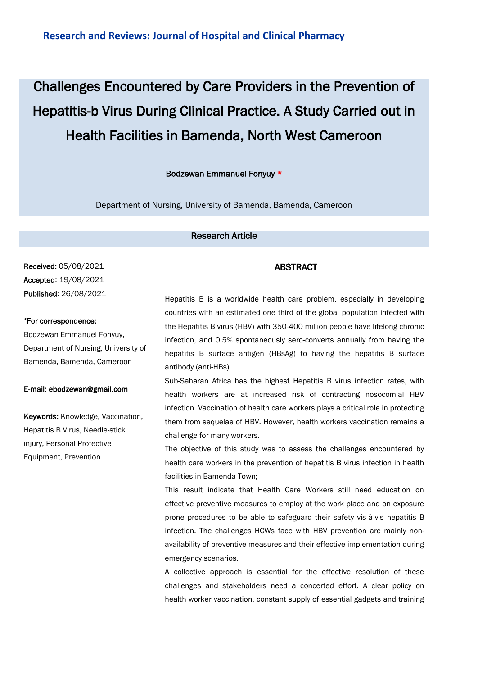# Challenges Encountered by Care Providers in the Prevention of Hepatitis-b Virus During Clinical Practice. A Study Carried out in Health Facilities in Bamenda, North West Cameroon

#### Bodzewan Emmanuel Fonyuy \*

Department of Nursing, University of Bamenda, Bamenda, Cameroon

#### Research Article

Received: 05/08/2021 Accepted: 19/08/2021 Published: 26/08/2021

#### \*For correspondence:

Bodzewan Emmanuel Fonyuy, Department of Nursing, University of Bamenda, Bamenda, Cameroon

#### E-mail: ebodzewan@gmail.com

Keywords: Knowledge, Vaccination, Hepatitis B Virus, Needle-stick injury, Personal Protective Equipment, Prevention

# ABSTRACT

Hepatitis B is a worldwide health care problem, especially in developing countries with an estimated one third of the global population infected with the Hepatitis B virus (HBV) with 350-400 million people have lifelong chronic infection, and 0.5% spontaneously sero-converts annually from having the hepatitis B surface antigen (HBsAg) to having the hepatitis B surface antibody (anti-HBs).

Sub-Saharan Africa has the highest Hepatitis B virus infection rates, with health workers are at increased risk of contracting nosocomial HBV infection. Vaccination of health care workers plays a critical role in protecting them from sequelae of HBV. However, health workers vaccination remains a challenge for many workers.

The objective of this study was to assess the challenges encountered by health care workers in the prevention of hepatitis B virus infection in health facilities in Bamenda Town;

This result indicate that Health Care Workers still need education on effective preventive measures to employ at the work place and on exposure prone procedures to be able to safeguard their safety vis-à-vis hepatitis B infection. The challenges HCWs face with HBV prevention are mainly nonavailability of preventive measures and their effective implementation during emergency scenarios.

A collective approach is essential for the effective resolution of these challenges and stakeholders need a concerted effort. A clear policy on health worker vaccination, constant supply of essential gadgets and training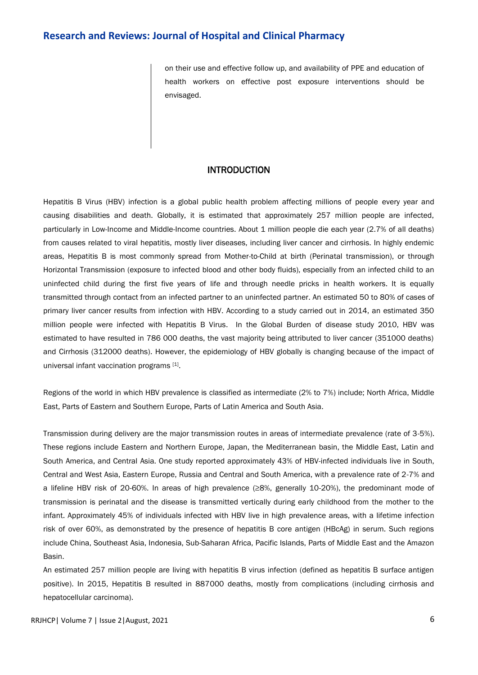on their use and effective follow up, and availability of PPE and education of health workers on effective post exposure interventions should be envisaged.

#### INTRODUCTION

Hepatitis B Virus (HBV) infection is a global public health problem affecting millions of people every year and causing disabilities and death. Globally, it is estimated that approximately 257 million people are infected, particularly in Low-Income and Middle-Income countries. About 1 million people die each year (2.7% of all deaths) from causes related to viral hepatitis, mostly liver diseases, including liver cancer and cirrhosis. In highly endemic areas, Hepatitis B is most commonly spread from Mother-to-Child at birth (Perinatal transmission), or through Horizontal Transmission (exposure to infected blood and other body fluids), especially from an infected child to an uninfected child during the first five years of life and through needle pricks in health workers. It is equally transmitted through contact from an infected partner to an uninfected partner. An estimated 50 to 80% of cases of primary liver cancer results from infection with HBV. According to a study carried out in 2014, an estimated 350 million people were infected with Hepatitis B Virus. In the Global Burden of disease study 2010, HBV was estimated to have resulted in 786 000 deaths, the vast majority being attributed to liver cancer (351000 deaths) and Cirrhosis (312000 deaths). However, the epidemiology of HBV globally is changing because of the impact of universal infant vaccination programs [1].

Regions of the world in which HBV prevalence is classified as intermediate (2% to 7%) include; North Africa, Middle East, Parts of Eastern and Southern Europe, Parts of Latin America and South Asia.

Transmission during delivery are the major transmission routes in areas of intermediate prevalence (rate of 3-5%). These regions include Eastern and Northern Europe, Japan, the Mediterranean basin, the Middle East, Latin and South America, and Central Asia. One study reported approximately 43% of HBV-infected individuals live in South, Central and West Asia, Eastern Europe, Russia and Central and South America, with a prevalence rate of 2-7% and a lifeline HBV risk of 20-60%. In areas of high prevalence (≥8%, generally 10-20%), the predominant mode of transmission is perinatal and the disease is transmitted vertically during early childhood from the mother to the infant. Approximately 45% of individuals infected with HBV live in high prevalence areas, with a lifetime infection risk of over 60%, as demonstrated by the presence of hepatitis B core antigen (HBcAg) in serum. Such regions include China, Southeast Asia, Indonesia, Sub-Saharan Africa, Pacific Islands, Parts of Middle East and the Amazon Basin.

An estimated 257 million people are living with hepatitis B virus infection (defined as hepatitis B surface antigen positive). In 2015, Hepatitis B resulted in 887000 deaths, mostly from complications (including cirrhosis and hepatocellular carcinoma).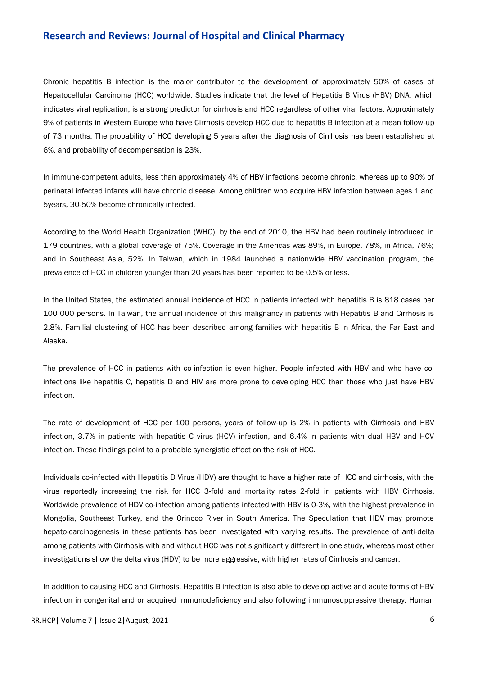Chronic hepatitis B infection is the major contributor to the development of approximately 50% of cases of Hepatocellular Carcinoma (HCC) worldwide. Studies indicate that the level of Hepatitis B Virus (HBV) DNA, which indicates viral replication, is a strong predictor for cirrhosis and HCC regardless of other viral factors. Approximately 9% of patients in Western Europe who have Cirrhosis develop HCC due to hepatitis B infection at a mean follow-up of 73 months. The probability of HCC developing 5 years after the diagnosis of Cirrhosis has been established at 6%, and probability of decompensation is 23%.

In immune-competent adults, less than approximately 4% of HBV infections become chronic, whereas up to 90% of perinatal infected infants will have chronic disease. Among children who acquire HBV infection between ages 1 and 5years, 30-50% become chronically infected.

According to the World Health Organization (WHO), by the end of 2010, the HBV had been routinely introduced in 179 countries, with a global coverage of 75%. Coverage in the Americas was 89%, in Europe, 78%, in Africa, 76%; and in Southeast Asia, 52%. In Taiwan, which in 1984 launched a nationwide HBV vaccination program, the prevalence of HCC in children younger than 20 years has been reported to be 0.5% or less.

In the United States, the estimated annual incidence of HCC in patients infected with hepatitis B is 818 cases per 100 000 persons. In Taiwan, the annual incidence of this malignancy in patients with Hepatitis B and Cirrhosis is 2.8%. Familial clustering of HCC has been described among families with hepatitis B in Africa, the Far East and Alaska.

The prevalence of HCC in patients with co-infection is even higher. People infected with HBV and who have coinfections like hepatitis C, hepatitis D and HIV are more prone to developing HCC than those who just have HBV infection.

The rate of development of HCC per 100 persons, years of follow-up is 2% in patients with Cirrhosis and HBV infection, 3.7% in patients with hepatitis C virus (HCV) infection, and 6.4% in patients with dual HBV and HCV infection. These findings point to a probable synergistic effect on the risk of HCC.

Individuals co-infected with Hepatitis D Virus (HDV) are thought to have a higher rate of HCC and cirrhosis, with the virus reportedly increasing the risk for HCC 3-fold and mortality rates 2-fold in patients with HBV Cirrhosis. Worldwide prevalence of HDV co-infection among patients infected with HBV is 0-3%, with the highest prevalence in Mongolia, Southeast Turkey, and the Orinoco River in South America. The Speculation that HDV may promote hepato-carcinogenesis in these patients has been investigated with varying results. The prevalence of anti-delta among patients with Cirrhosis with and without HCC was not significantly different in one study, whereas most other investigations show the delta virus (HDV) to be more aggressive, with higher rates of Cirrhosis and cancer.

In addition to causing HCC and Cirrhosis, Hepatitis B infection is also able to develop active and acute forms of HBV infection in congenital and or acquired immunodeficiency and also following immunosuppressive therapy. Human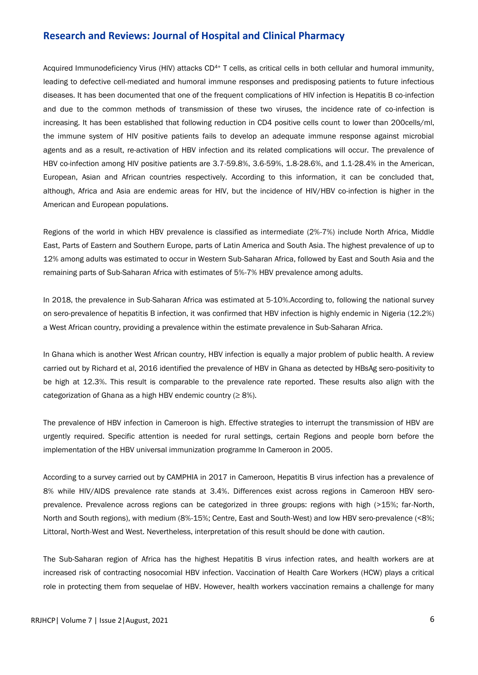Acquired Immunodeficiency Virus (HIV) attacks CD<sup>4+</sup> T cells, as critical cells in both cellular and humoral immunity, leading to defective cell-mediated and humoral immune responses and predisposing patients to future infectious diseases. It has been documented that one of the frequent complications of HIV infection is Hepatitis B co-infection and due to the common methods of transmission of these two viruses, the incidence rate of co-infection is increasing. It has been established that following reduction in CD4 positive cells count to lower than 200cells/ml, the immune system of HIV positive patients fails to develop an adequate immune response against microbial agents and as a result, re-activation of HBV infection and its related complications will occur. The prevalence of HBV co-infection among HIV positive patients are 3.7-59.8%, 3.6-59%, 1.8-28.6%, and 1.1-28.4% in the American, European, Asian and African countries respectively. According to this information, it can be concluded that, although, Africa and Asia are endemic areas for HIV, but the incidence of HIV/HBV co-infection is higher in the American and European populations.

Regions of the world in which HBV prevalence is classified as intermediate (2%-7%) include North Africa, Middle East, Parts of Eastern and Southern Europe, parts of Latin America and South Asia. The highest prevalence of up to 12% among adults was estimated to occur in Western Sub-Saharan Africa, followed by East and South Asia and the remaining parts of Sub-Saharan Africa with estimates of 5%-7% HBV prevalence among adults.

In 2018, the prevalence in Sub-Saharan Africa was estimated at 5-10%.According to, following the national survey on sero-prevalence of hepatitis B infection, it was confirmed that HBV infection is highly endemic in Nigeria (12.2%) a West African country, providing a prevalence within the estimate prevalence in Sub-Saharan Africa.

In Ghana which is another West African country, HBV infection is equally a major problem of public health. A review carried out by Richard et al, 2016 identified the prevalence of HBV in Ghana as detected by HBsAg sero-positivity to be high at 12.3%. This result is comparable to the prevalence rate reported. These results also align with the categorization of Ghana as a high HBV endemic country ( $\geq 8\%$ ).

The prevalence of HBV infection in Cameroon is high. Effective strategies to interrupt the transmission of HBV are urgently required. Specific attention is needed for rural settings, certain Regions and people born before the implementation of the HBV universal immunization programme In Cameroon in 2005.

According to a survey carried out by CAMPHIA in 2017 in Cameroon, Hepatitis B virus infection has a prevalence of 8% while HIV/AIDS prevalence rate stands at 3.4%. Differences exist across regions in Cameroon HBV seroprevalence. Prevalence across regions can be categorized in three groups: regions with high (>15%; far-North, North and South regions), with medium (8%-15%; Centre, East and South-West) and low HBV sero-prevalence (<8%; Littoral, North-West and West. Nevertheless, interpretation of this result should be done with caution.

The Sub-Saharan region of Africa has the highest Hepatitis B virus infection rates, and health workers are at increased risk of contracting nosocomial HBV infection. Vaccination of Health Care Workers (HCW) plays a critical role in protecting them from sequelae of HBV. However, health workers vaccination remains a challenge for many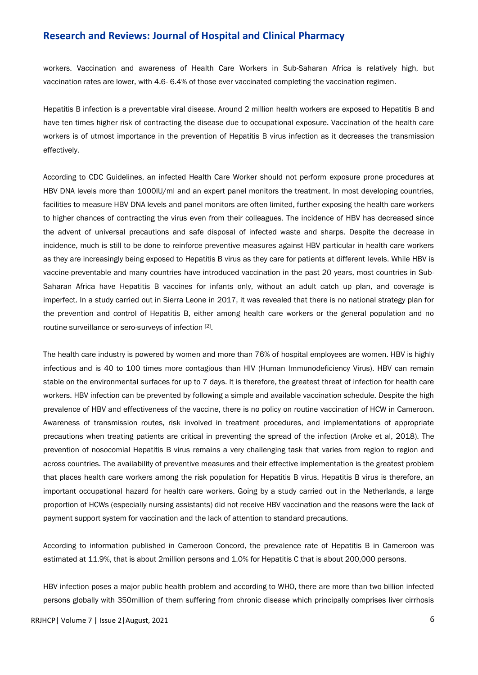workers. Vaccination and awareness of Health Care Workers in Sub-Saharan Africa is relatively high, but vaccination rates are lower, with 4.6- 6.4% of those ever vaccinated completing the vaccination regimen.

Hepatitis B infection is a preventable viral disease. Around 2 million health workers are exposed to Hepatitis B and have ten times higher risk of contracting the disease due to occupational exposure. Vaccination of the health care workers is of utmost importance in the prevention of Hepatitis B virus infection as it decreases the transmission effectively.

According to CDC Guidelines, an infected Health Care Worker should not perform exposure prone procedures at HBV DNA levels more than 1000IU/ml and an expert panel monitors the treatment. In most developing countries, facilities to measure HBV DNA levels and panel monitors are often limited, further exposing the health care workers to higher chances of contracting the virus even from their colleagues. The incidence of HBV has decreased since the advent of universal precautions and safe disposal of infected waste and sharps. Despite the decrease in incidence, much is still to be done to reinforce preventive measures against HBV particular in health care workers as they are increasingly being exposed to Hepatitis B virus as they care for patients at different levels. While HBV is vaccine-preventable and many countries have introduced vaccination in the past 20 years, most countries in Sub-Saharan Africa have Hepatitis B vaccines for infants only, without an adult catch up plan, and coverage is imperfect. In a study carried out in Sierra Leone in 2017, it was revealed that there is no national strategy plan for the prevention and control of Hepatitis B, either among health care workers or the general population and no routine surveillance or sero-surveys of infection [2].

The health care industry is powered by women and more than 76% of hospital employees are women. HBV is highly infectious and is 40 to 100 times more contagious than HIV (Human Immunodeficiency Virus). HBV can remain stable on the environmental surfaces for up to 7 days. It is therefore, the greatest threat of infection for health care workers. HBV infection can be prevented by following a simple and available vaccination schedule. Despite the high prevalence of HBV and effectiveness of the vaccine, there is no policy on routine vaccination of HCW in Cameroon. Awareness of transmission routes, risk involved in treatment procedures, and implementations of appropriate precautions when treating patients are critical in preventing the spread of the infection (Aroke et al, 2018). The prevention of nosocomial Hepatitis B virus remains a very challenging task that varies from region to region and across countries. The availability of preventive measures and their effective implementation is the greatest problem that places health care workers among the risk population for Hepatitis B virus. Hepatitis B virus is therefore, an important occupational hazard for health care workers. Going by a study carried out in the Netherlands, a large proportion of HCWs (especially nursing assistants) did not receive HBV vaccination and the reasons were the lack of payment support system for vaccination and the lack of attention to standard precautions.

According to information published in Cameroon Concord, the prevalence rate of Hepatitis B in Cameroon was estimated at 11.9%, that is about 2million persons and 1.0% for Hepatitis C that is about 200,000 persons.

HBV infection poses a major public health problem and according to WHO, there are more than two billion infected persons globally with 350million of them suffering from chronic disease which principally comprises liver cirrhosis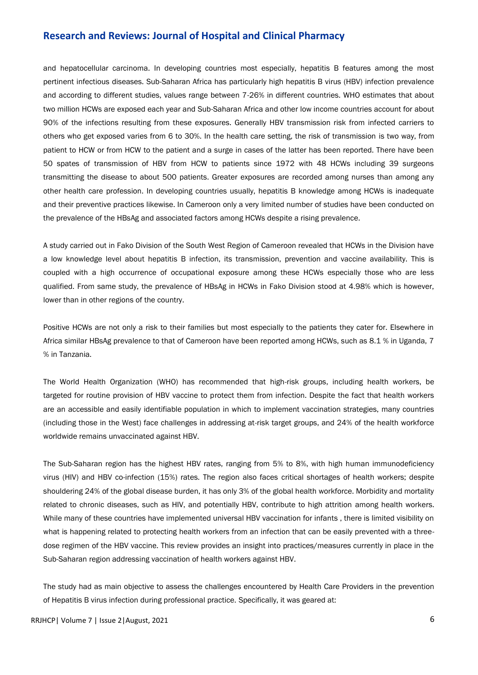and hepatocellular carcinoma. In developing countries most especially, hepatitis B features among the most pertinent infectious diseases. Sub-Saharan Africa has particularly high hepatitis B virus (HBV) infection prevalence and according to different studies, values range between 7-26% in different countries. WHO estimates that about two million HCWs are exposed each year and Sub-Saharan Africa and other low income countries account for about 90% of the infections resulting from these exposures. Generally HBV transmission risk from infected carriers to others who get exposed varies from 6 to 30%. In the health care setting, the risk of transmission is two way, from patient to HCW or from HCW to the patient and a surge in cases of the latter has been reported. There have been 50 spates of transmission of HBV from HCW to patients since 1972 with 48 HCWs including 39 surgeons transmitting the disease to about 500 patients. Greater exposures are recorded among nurses than among any other health care profession. In developing countries usually, hepatitis B knowledge among HCWs is inadequate and their preventive practices likewise. In Cameroon only a very limited number of studies have been conducted on the prevalence of the HBsAg and associated factors among HCWs despite a rising prevalence.

A study carried out in Fako Division of the South West Region of Cameroon revealed that HCWs in the Division have a low knowledge level about hepatitis B infection, its transmission, prevention and vaccine availability. This is coupled with a high occurrence of occupational exposure among these HCWs especially those who are less qualified. From same study, the prevalence of HBsAg in HCWs in Fako Division stood at 4.98% which is however, lower than in other regions of the country.

Positive HCWs are not only a risk to their families but most especially to the patients they cater for. Elsewhere in Africa similar HBsAg prevalence to that of Cameroon have been reported among HCWs, such as 8.1 % in Uganda, 7 % in Tanzania.

The World Health Organization (WHO) has recommended that high-risk groups, including health workers, be targeted for routine provision of HBV vaccine to protect them from infection. Despite the fact that health workers are an accessible and easily identifiable population in which to implement vaccination strategies, many countries (including those in the West) face challenges in addressing at-risk target groups, and 24% of the health workforce worldwide remains unvaccinated against HBV.

The Sub-Saharan region has the highest HBV rates, ranging from 5% to 8%, with high human immunodeficiency virus (HIV) and HBV co-infection (15%) rates. The region also faces critical shortages of health workers; despite shouldering 24% of the global disease burden, it has only 3% of the global health workforce. Morbidity and mortality related to chronic diseases, such as HIV, and potentially HBV, contribute to high attrition among health workers. While many of these countries have implemented universal HBV vaccination for infants , there is limited visibility on what is happening related to protecting health workers from an infection that can be easily prevented with a threedose regimen of the HBV vaccine. This review provides an insight into practices/measures currently in place in the Sub-Saharan region addressing vaccination of health workers against HBV.

The study had as main objective to assess the challenges encountered by Health Care Providers in the prevention of Hepatitis B virus infection during professional practice. Specifically, it was geared at: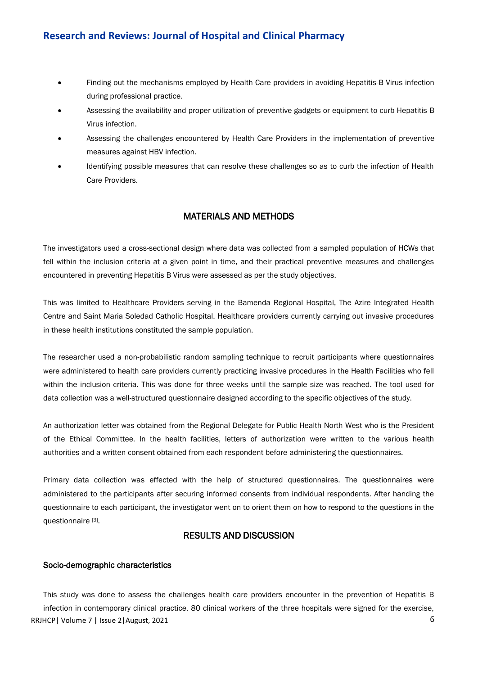- Finding out the mechanisms employed by Health Care providers in avoiding Hepatitis-B Virus infection during professional practice.
- Assessing the availability and proper utilization of preventive gadgets or equipment to curb Hepatitis-B Virus infection.
- Assessing the challenges encountered by Health Care Providers in the implementation of preventive measures against HBV infection.
- Identifying possible measures that can resolve these challenges so as to curb the infection of Health Care Providers.

# MATERIALS AND METHODS

The investigators used a cross-sectional design where data was collected from a sampled population of HCWs that fell within the inclusion criteria at a given point in time, and their practical preventive measures and challenges encountered in preventing Hepatitis B Virus were assessed as per the study objectives.

This was limited to Healthcare Providers serving in the Bamenda Regional Hospital, The Azire Integrated Health Centre and Saint Maria Soledad Catholic Hospital. Healthcare providers currently carrying out invasive procedures in these health institutions constituted the sample population.

The researcher used a non-probabilistic random sampling technique to recruit participants where questionnaires were administered to health care providers currently practicing invasive procedures in the Health Facilities who fell within the inclusion criteria. This was done for three weeks until the sample size was reached. The tool used for data collection was a well-structured questionnaire designed according to the specific objectives of the study.

An authorization letter was obtained from the Regional Delegate for Public Health North West who is the President of the Ethical Committee. In the health facilities, letters of authorization were written to the various health authorities and a written consent obtained from each respondent before administering the questionnaires.

Primary data collection was effected with the help of structured questionnaires. The questionnaires were administered to the participants after securing informed consents from individual respondents. After handing the questionnaire to each participant, the investigator went on to orient them on how to respond to the questions in the questionnaire [3].

# RESULTS AND DISCUSSION

#### Socio-demographic characteristics

RRJHCP | Volume 7 | Issue 2 | August, 2021 **6** This study was done to assess the challenges health care providers encounter in the prevention of Hepatitis B infection in contemporary clinical practice. 80 clinical workers of the three hospitals were signed for the exercise,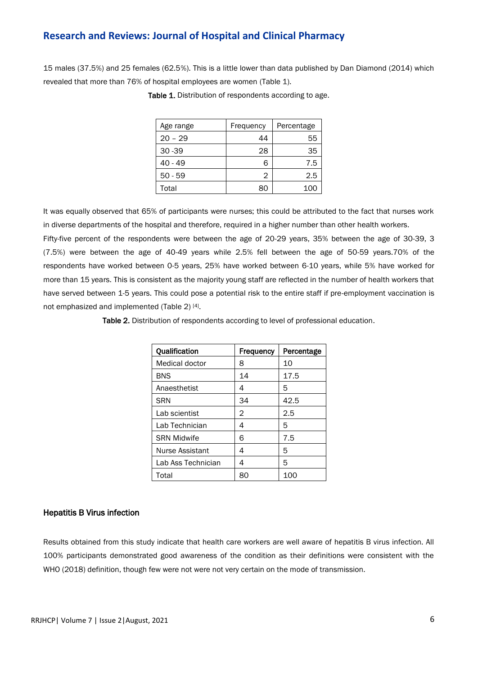15 males (37.5%) and 25 females (62.5%). This is a little lower than data published by Dan Diamond (2014) which revealed that more than 76% of hospital employees are women (Table 1).

| Age range | Frequency | Percentage |
|-----------|-----------|------------|
| $20 - 29$ | 44        | 55         |
| $30 - 39$ | 28        | 35         |
| $40 - 49$ | 6         | 7.5        |
| $50 - 59$ | 2         | 2.5        |
| Total     | 80        | 100        |

Table 1. Distribution of respondents according to age.

It was equally observed that 65% of participants were nurses; this could be attributed to the fact that nurses work in diverse departments of the hospital and therefore, required in a higher number than other health workers.

Fifty-five percent of the respondents were between the age of 20-29 years, 35% between the age of 30-39, 3 (7.5%) were between the age of 40-49 years while 2.5% fell between the age of 50-59 years.70% of the respondents have worked between 0-5 years, 25% have worked between 6-10 years, while 5% have worked for more than 15 years. This is consistent as the majority young staff are reflected in the number of health workers that have served between 1-5 years. This could pose a potential risk to the entire staff if pre-employment vaccination is not emphasized and implemented (Table 2) [4].

Table 2. Distribution of respondents according to level of professional education.

| Qualification      | Frequency | Percentage |
|--------------------|-----------|------------|
| Medical doctor     | 8         | 10         |
| <b>BNS</b>         | 14        | 17.5       |
| Anaesthetist       | 4         | 5          |
| <b>SRN</b>         | 34        | 42.5       |
| Lab scientist      | 2         | 2.5        |
| Lab Technician     | 4         | 5          |
| <b>SRN Midwife</b> | 6         | 7.5        |
| Nurse Assistant    | 4         | 5          |
| Lab Ass Technician | 4         | 5          |
| Total              | 80        | 100        |

#### Hepatitis B Virus infection

Results obtained from this study indicate that health care workers are well aware of hepatitis B virus infection. All 100% participants demonstrated good awareness of the condition as their definitions were consistent with the WHO (2018) definition, though few were not were not very certain on the mode of transmission.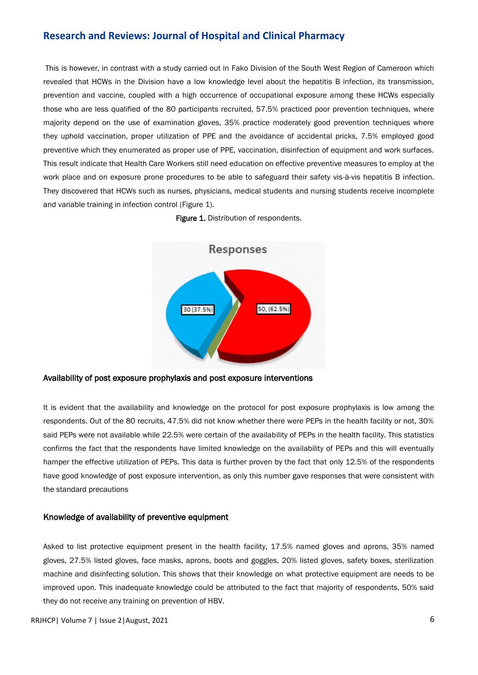This is however, in contrast with a study carried out in Fako Division of the South West Region of Cameroon which revealed that HCWs in the Division have a low knowledge level about the hepatitis B infection, its transmission, prevention and vaccine, coupled with a high occurrence of occupational exposure among these HCWs especially those who are less qualified of the 80 participants recruited, 57.5% practiced poor prevention techniques, where majority depend on the use of examination gloves, 35% practice moderately good prevention techniques where they uphold vaccination, proper utilization of PPE and the avoidance of accidental pricks, 7.5% employed good preventive which they enumerated as proper use of PPE, vaccination, disinfection of equipment and work surfaces. This result indicate that Health Care Workers still need education on effective preventive measures to employ at the work place and on exposure prone procedures to be able to safeguard their safety vis-à-vis hepatitis B infection. They discovered that HCWs such as nurses, physicians, medical students and nursing students receive incomplete and variable training in infection control (Figure 1).





Availability of post exposure prophylaxis and post exposure interventions

It is evident that the availability and knowledge on the protocol for post exposure prophylaxis is low among the respondents. Out of the 80 recruits, 47.5% did not know whether there were PEPs in the health facility or not, 30% said PEPs were not available while 22.5% were certain of the availability of PEPs in the health facility. This statistics confirms the fact that the respondents have limited knowledge on the availability of PEPs and this will eventually hamper the effective utilization of PEPs. This data is further proven by the fact that only 12.5% of the respondents have good knowledge of post exposure intervention, as only this number gave responses that were consistent with the standard precautions

#### Knowledge of availability of preventive equipment

Asked to list protective equipment present in the health facility, 17.5% named gloves and aprons, 35% named gloves, 27.5% listed gloves, face masks, aprons, boots and goggles, 20% listed gloves, safety boxes, sterilization machine and disinfecting solution. This shows that their knowledge on what protective equipment are needs to be improved upon. This inadequate knowledge could be attributed to the fact that majority of respondents, 50% said they do not receive any training on prevention of HBV.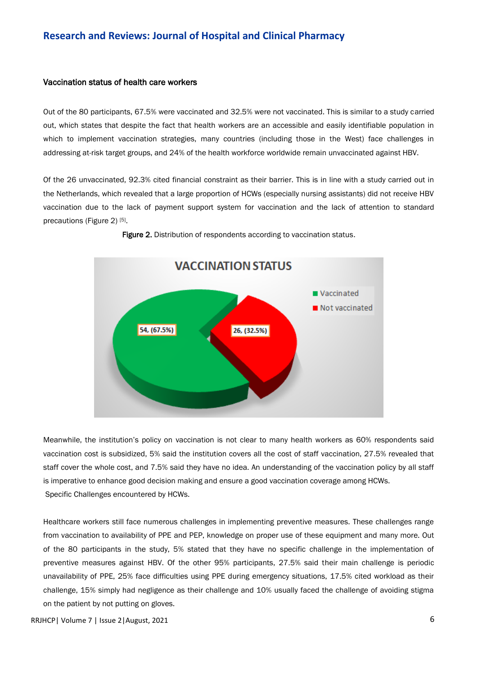#### Vaccination status of health care workers

Out of the 80 participants, 67.5% were vaccinated and 32.5% were not vaccinated. This is similar to a study carried out, which states that despite the fact that health workers are an accessible and easily identifiable population in which to implement vaccination strategies, many countries (including those in the West) face challenges in addressing at-risk target groups, and 24% of the health workforce worldwide remain unvaccinated against HBV.

Of the 26 unvaccinated, 92.3% cited financial constraint as their barrier. This is in line with a study carried out in the Netherlands, which revealed that a large proportion of HCWs (especially nursing assistants) did not receive HBV vaccination due to the lack of payment support system for vaccination and the lack of attention to standard precautions (Figure 2)<sup>[5]</sup>.



Figure 2. Distribution of respondents according to vaccination status.

Meanwhile, the institution's policy on vaccination is not clear to many health workers as 60% respondents said vaccination cost is subsidized, 5% said the institution covers all the cost of staff vaccination, 27.5% revealed that staff cover the whole cost, and 7.5% said they have no idea. An understanding of the vaccination policy by all staff is imperative to enhance good decision making and ensure a good vaccination coverage among HCWs. Specific Challenges encountered by HCWs.

Healthcare workers still face numerous challenges in implementing preventive measures. These challenges range from vaccination to availability of PPE and PEP, knowledge on proper use of these equipment and many more. Out of the 80 participants in the study, 5% stated that they have no specific challenge in the implementation of preventive measures against HBV. Of the other 95% participants, 27.5% said their main challenge is periodic unavailability of PPE, 25% face difficulties using PPE during emergency situations, 17.5% cited workload as their challenge, 15% simply had negligence as their challenge and 10% usually faced the challenge of avoiding stigma on the patient by not putting on gloves.